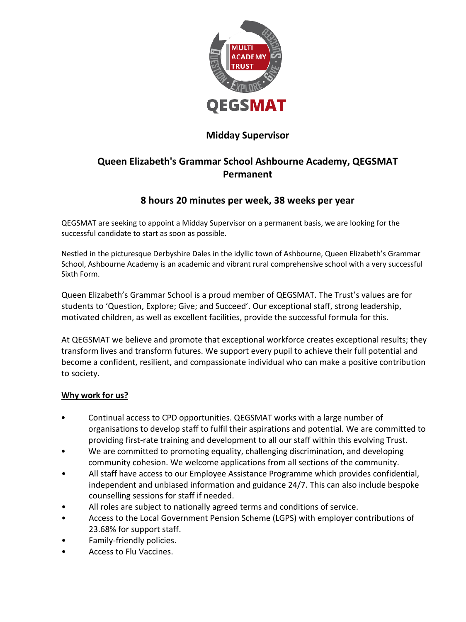

### **Midday Supervisor**

# **Queen Elizabeth's Grammar School Ashbourne Academy, QEGSMAT Permanent**

### **8 hours 20 minutes per week, 38 weeks per year**

QEGSMAT are seeking to appoint a Midday Supervisor on a permanent basis, we are looking for the successful candidate to start as soon as possible.

Nestled in the picturesque Derbyshire Dales in the idyllic town of Ashbourne, Queen Elizabeth's Grammar School, Ashbourne Academy is an academic and vibrant rural comprehensive school with a very successful Sixth Form.

Queen Elizabeth's Grammar School is a proud member of QEGSMAT. The Trust's values are for students to 'Question, Explore; Give; and Succeed'. Our exceptional staff, strong leadership, motivated children, as well as excellent facilities, provide the successful formula for this.

At QEGSMAT we believe and promote that exceptional workforce creates exceptional results; they transform lives and transform futures. We support every pupil to achieve their full potential and become a confident, resilient, and compassionate individual who can make a positive contribution to society.

### **Why work for us?**

- Continual access to CPD opportunities. QEGSMAT works with a large number of organisations to develop staff to fulfil their aspirations and potential. We are committed to providing first-rate training and development to all our staff within this evolving Trust.
- We are committed to promoting equality, challenging discrimination, and developing community cohesion. We welcome applications from all sections of the community.
- All staff have access to our Employee Assistance Programme which provides confidential, independent and unbiased information and guidance 24/7. This can also include bespoke counselling sessions for staff if needed.
- All roles are subject to nationally agreed terms and conditions of service.
- Access to the Local Government Pension Scheme (LGPS) with employer contributions of 23.68% for support staff.
- Family-friendly policies.
- Access to Flu Vaccines.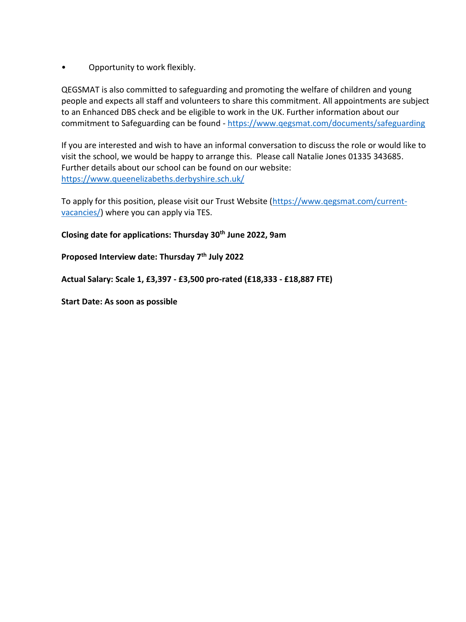• Opportunity to work flexibly.

QEGSMAT is also committed to safeguarding and promoting the welfare of children and young people and expects all staff and volunteers to share this commitment. All appointments are subject to an Enhanced DBS check and be eligible to work in the UK. Further information about our commitment to Safeguarding can be found - <https://www.qegsmat.com/documents/safeguarding>

If you are interested and wish to have an informal conversation to discuss the role or would like to visit the school, we would be happy to arrange this. Please call Natalie Jones 01335 343685. Further details about our school can be found on our website: <https://www.queenelizabeths.derbyshire.sch.uk/>

To apply for this position, please visit our Trust Website [\(https://www.qegsmat.com/current](https://www.qegsmat.com/current-vacancies/)[vacancies/\)](https://www.qegsmat.com/current-vacancies/) where you can apply via TES.

**Closing date for applications: Thursday 30th June 2022, 9am**

**Proposed Interview date: Thursday 7th July 2022**

**Actual Salary: Scale 1, £3,397 - £3,500 pro-rated (£18,333 - £18,887 FTE)** 

**Start Date: As soon as possible**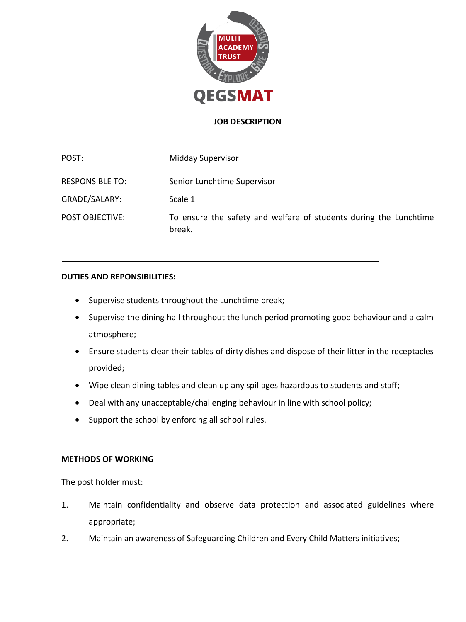

#### **JOB DESCRIPTION**

POST: Midday Supervisor RESPONSIBLE TO: Senior Lunchtime Supervisor GRADE/SALARY: Scale 1 POST OBJECTIVE: To ensure the safety and welfare of students during the Lunchtime break.

#### **DUTIES AND REPONSIBILITIES:**

- Supervise students throughout the Lunchtime break;
- Supervise the dining hall throughout the lunch period promoting good behaviour and a calm atmosphere;
- Ensure students clear their tables of dirty dishes and dispose of their litter in the receptacles provided;
- Wipe clean dining tables and clean up any spillages hazardous to students and staff;
- Deal with any unacceptable/challenging behaviour in line with school policy;
- Support the school by enforcing all school rules.

#### **METHODS OF WORKING**

The post holder must:

- 1. Maintain confidentiality and observe data protection and associated guidelines where appropriate;
- 2. Maintain an awareness of Safeguarding Children and Every Child Matters initiatives;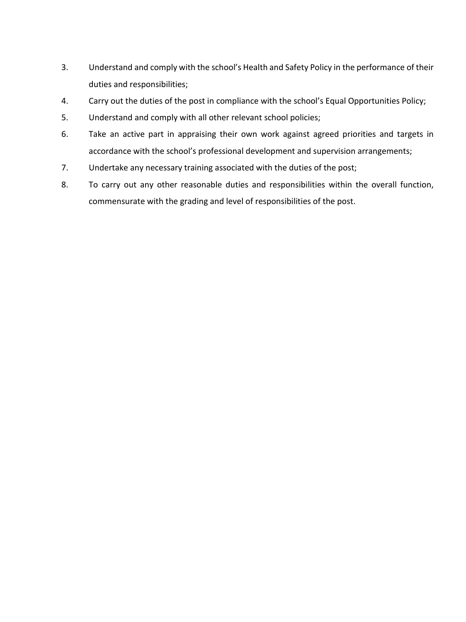- 3. Understand and comply with the school's Health and Safety Policy in the performance of their duties and responsibilities;
- 4. Carry out the duties of the post in compliance with the school's Equal Opportunities Policy;
- 5. Understand and comply with all other relevant school policies;
- 6. Take an active part in appraising their own work against agreed priorities and targets in accordance with the school's professional development and supervision arrangements;
- 7. Undertake any necessary training associated with the duties of the post;
- 8. To carry out any other reasonable duties and responsibilities within the overall function, commensurate with the grading and level of responsibilities of the post.